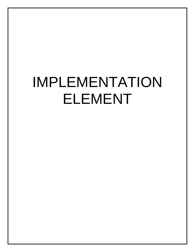# IMPLEMENTATION ELEMENT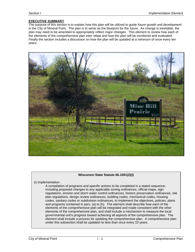# **EXECUTIVE SUMMARY**

The purpose of this section is to explain how this plan will be utilized to guide future growth and development in the City of Mineral Point. The plan is to serve as the blueprint for the future. As change is inevitable, the plan may need to be amended to appropriately reflect major changes. This element to review how each of the elements of the comprehensive plan inter relate and how the plan will be monitored and evaluated. Finally the section includes a discussion on how the plan will be updated at a minimum of once every ten years.



#### **Wisconsin State Statute 66.1001(2)(i)**

(i) *Implementation.*

A compilation of programs and specific actions to be completed in a stated sequence, including proposed changes to any applicable zoning ordinances, official maps, sign regulations, erosion and storm water control ordinances, historic preservation ordinances, site plan regulations, design review ordinances, building codes, mechanical codes, housing codes, sanitary codes or subdivision ordinances, to implement the objectives, policies, plans and programs contained in pars. (a) to (h). The element shall describe how each of the elements of the comprehensive plan will be integrated and made consistent with the other elements of the comprehensive plan, and shall include a mechanism to measure the local governmental unit's progress toward achieving all aspects of the comprehensive plan. The element shall include a process for updating the comprehensive plan. A comprehensive plan under this subsection shall be updated no less than once every 10 years.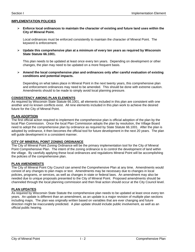#### **IMPLEMENTATION POLICIES**

¾ **Enforce local ordinances to maintain the character of existing and future land uses within the City of Mineral Point.** 

Local ordinances must be enforced consistently to maintain the character of Mineral Point. The keyword is enforcement.

¾ **Update this comprehensive plan at a minimum of every ten years as required by Wisconsin State Statute 66.1001.** 

This plan needs to be updated at least once every ten years. Depending on development or other changes, the plan may need to be updated on a more frequent basis.

¾ **Amend the local comprehensive plan and ordinances only after careful evaluation of existing conditions and potential impacts.** 

Depending on what takes place in Mineral Point in the next twenty years, this comprehensive plan and enforcement ordinances may need to be amended. This should be done with extreme caution. Amendments should to be made to simply avoid local planning pressure.

#### **CONSISTENCY AMONG PLAN ELEMENTS**

As required by Wisconsin State Statute 66.1001, all elements included in this plan are consistent with one another and no known conflicts exist. All nine elements included in this plan work to achieve the desired future for the City of Mineral Point.

#### **PLAN ADOPTION**

The first official action required to implement the comprehensive plan is official adoption of the plan by the local Plan Commission. Once the local Plan Commission adopts the plan by resolution, the Village Board need to adopt the comprehensive plan by ordinance as required by State Statute 66.1001. After the plan is adopted by ordinance, it then becomes the official tool for future development in the next 20 years. The plan will guide development in a consistent manner.

#### **CITY OF MINERAL POINT ZONING ORDINANCE**

The City of Mineral Point Zoning Ordinance will be the primary implementation tool for the City of Mineral Point Comprehensive Plan. The intent of the zoning ordinance is to control the development of land within the village. By carefully applying these local ordinances and regulations Mineral Point will be accomplishing the policies of the comprehensive plan.

#### **PLAN AMENDMENTS**

The City of Mineral Point City Council can amend the Comprehensive Plan at any time. Amendments would consist of any changes to plan maps or text. Amendments may be necessary due to changes in local policies, programs, or services, as well as changes in state or federal laws. An amendment may also be needed due to unique proposals presented to the City of Mineral Point. Proposed amendments should be channeled through the local planning commission and then final action should occur at the City Council level.

## **PLAN UPDATES**

As required by Wisconsin State Statute the comprehensive plan needs to be updated at least once every ten years. An update is different than an amendment, as an update is a major revision of multiple plan sections including maps. The plan was originally written based on variables that are ever changing and future direction might be inaccurately predicted. A plan update should include public involvement, as well as an official public hearing.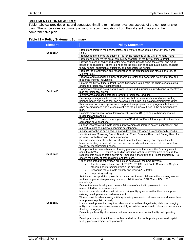## **IMPLEMENTATION MEASURES**

Table I.1below provides a list and suggested timeline to implement various aspects of the comprehensive plan. The list provides a summary of various recommendations from the different chapters of the comprehensive plan.

#### **Table I.1 – Policy Statement Summary**

| <b>Element</b>   | <b>Policy Statement</b>                                                                                                                                                                                                                                                                                                                                                  |
|------------------|--------------------------------------------------------------------------------------------------------------------------------------------------------------------------------------------------------------------------------------------------------------------------------------------------------------------------------------------------------------------------|
| <b>Section A</b> | Protect and improve the health, safety, and welfare of residents in the City of Mineral<br>Point.                                                                                                                                                                                                                                                                        |
|                  | Preserve and enhance the quality of life for the residents of the City of Mineral Point.                                                                                                                                                                                                                                                                                 |
|                  | Protect and preserve the small community character of the City of Mineral Point.                                                                                                                                                                                                                                                                                         |
|                  | Provide choices of owner and renter type-housing units to serve the current and future<br>needs of all residents. There is a need for the provision of an adequate supply of single-<br>family homes, apartments, duplexes, and manufactured homes.                                                                                                                      |
|                  | Promote the preservation and rehabilitation of the existing housing stock in the City of<br>Mineral Point.                                                                                                                                                                                                                                                               |
|                  | Preserve and expand the supply of affordable rental and ownership housing for low and<br>moderate-income individuals.                                                                                                                                                                                                                                                    |
|                  | Enforce the City of Mineral Point Zoning Ordinance to maintain the character of existing<br>and future residential neighborhoods.                                                                                                                                                                                                                                        |
| <b>Section B</b> | Coordinate planning activities with lowa County and surrounding jurisdictions to effectively<br>plan for residential growth.                                                                                                                                                                                                                                             |
|                  | Identify areas and designate land for future residential land use.                                                                                                                                                                                                                                                                                                       |
|                  | Encourage contiguous development patterns that preserve and expand upon existing                                                                                                                                                                                                                                                                                         |
|                  | neighborhoods and areas that can be served wit public utilities and community facilities.<br>Review new housing proposals and support those proposals and programs that meet the                                                                                                                                                                                         |
|                  | city's housing needs and are consistent with the policies outlined in the comprehensive<br>plan.                                                                                                                                                                                                                                                                         |
|                  | Possible creation of a Capitol Improvement Program (CIP) to help with transportation                                                                                                                                                                                                                                                                                     |
|                  | budgeting and planning.                                                                                                                                                                                                                                                                                                                                                  |
|                  | Work with WisDOT to create and promote a "Park & Pool" ride lot to support and increase<br>carpooling or vanpool use.                                                                                                                                                                                                                                                    |
|                  | Support incorporating bicycle-related improvements to improve safety, connectivity, and<br>support tourism as a part of economic development.                                                                                                                                                                                                                            |
|                  | Include sidewalks in new and/or existing developments when it is economically feasible.                                                                                                                                                                                                                                                                                  |
|                  | Identification of Shakerag Street, Barreltown Road, Ferndale Road, and Survey Road for<br>possible Rustic Roads program application.                                                                                                                                                                                                                                     |
|                  | Support improvements to the transit system at the local, county, and regional levels<br>because existing services do not meet current needs and, if continued at the same level,                                                                                                                                                                                         |
| <b>Section C</b> | would not meet projected needs.<br>As a part of this comprehensive planning process, or in the future, the City may want to<br>consult with WisDOT District 1 regarding locations for future development to ensure that<br>requirements are met, traffic flow is not impeded in the future and—most importantly—to<br>ensure the safety of both residents and travelers. |
|                  | Other anticipated transportation projects or issues over the next 10 years:<br>The five-point intersection at STH 23, STH 39, and South Commerce St, plus<br>$\bullet$<br>other major intersections within the city limits.                                                                                                                                              |
|                  | Becoming more bicycle friendly and limiting ATV traffic.<br>Improving parking.                                                                                                                                                                                                                                                                                           |
|                  | Anticipated transportation projects or issues over the next 20 years (the planning window<br>for the comprehensive planning process): Addition of an STH 39 and USH 151<br>interchange.                                                                                                                                                                                  |
|                  | Ensure that new development bears a fair share of capital improvement costs<br>necessitated by the development.                                                                                                                                                                                                                                                          |
|                  | Maintain, operate, and reconstruct the existing utility systems so that they can support<br>existing development and redevelopment.                                                                                                                                                                                                                                      |
|                  | Where possible, when making utility system improvements, relocate water and sewer lines<br>from private to public property.                                                                                                                                                                                                                                              |
| <b>Section D</b> | Locate development that requires urban services within village limits, while discouraging<br>utility extensions into areas environmentally unsuitable for urban development due to soils,<br>flooding, topography, etc.                                                                                                                                                  |
|                  | Evaluate public utility alternatives and services to reduce capital facility and operating<br>costs.                                                                                                                                                                                                                                                                     |
|                  | Develop a process that informs, notifies, and allows for public participation in all capital<br>facility planning projects and proposals.                                                                                                                                                                                                                                |